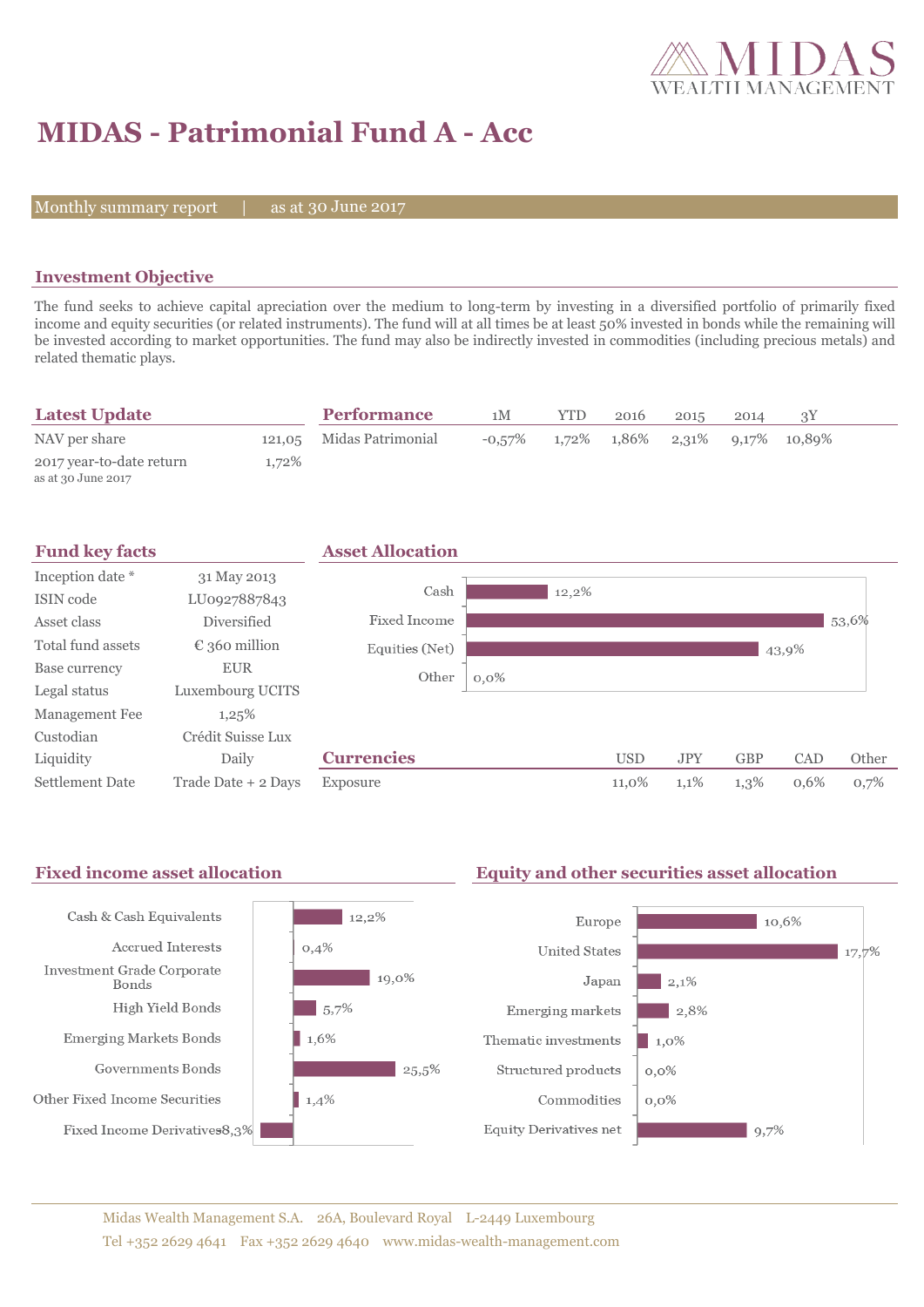

# **MIDAS - Patrimonial Fund A - Acc**

Monthly summary report  $|$ 

as at 30 June 2017

#### **Investment Objective**

The fund seeks to achieve capital apreciation over the medium to long-term by investing in a diversified portfolio of primarily fixed income and equity securities (or related instruments). The fund will at all times be at least 50% invested in bonds while the remaining will be invested according to market opportunities. The fund may also be indirectly invested in commodities (including precious metals) and related thematic plays.

| <b>Latest Update</b>                           |          | <b>Performance</b>       | 1M        | <b>YTD</b> | 2016                                          | 2015 | 2014 |  |
|------------------------------------------------|----------|--------------------------|-----------|------------|-----------------------------------------------|------|------|--|
| NAV per share                                  |          | 121,05 Midas Patrimonial | $-0.57\%$ |            | $1,72\%$ $1,86\%$ $2,31\%$ $9,17\%$ $10,89\%$ |      |      |  |
| 2017 year-to-date return<br>as at 30 June 2017 | $1.72\%$ |                          |           |            |                                               |      |      |  |



#### Fixed income asset allocation **Equity and other securities asset allocation** Cash & Cash Equivalents  $12.2\%$ Europe  $10.6%$ Accrued Interests  $0,4%$ **United States**  $17,7%$ Investment Grade Corporate  $19,0\%$ Japan  $|2.1\%$ Bonds High Yield Bonds  $\frac{1}{5,7\%}$ Emerging markets  $\frac{1}{2,8\%}$ **Emerging Markets Bonds**  $1,6%$ Thematic investments  $1,0\%$ Governments Bonds  $\frac{1}{25.5\%}$ Structured products  $0,0\%$ Other Fixed Income Securities  $1,4%$ Commodities  $0.0\%$ Fixed Income Derivatives8,3% Equity Derivatives net  $9,7%$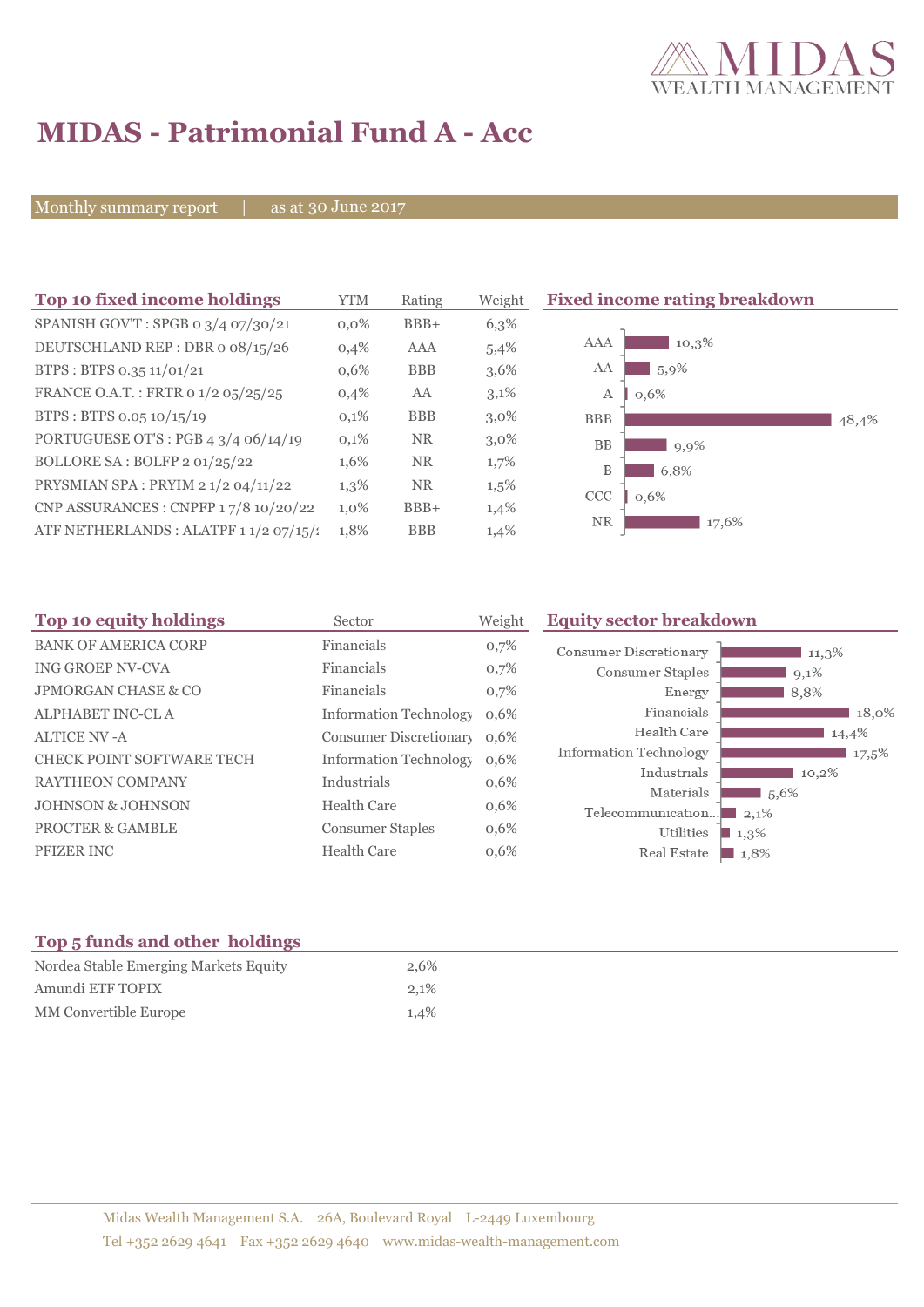

# **MIDAS - Patrimonial Fund A - Acc**

Monthly summary report | as at 30 June 2017

| Top 10 fixed income holdings                   | <b>YTM</b> | Rating     | Weight  | <b>Fixed income rating breakdown</b> |
|------------------------------------------------|------------|------------|---------|--------------------------------------|
| SPANISH GOV'T: SPGB 0 3/4 07/30/21             | $0.0\%$    | $BBB+$     | 6,3%    |                                      |
| DEUTSCHLAND REP : DBR o 08/15/26               | 0,4%       | AAA        | 5,4%    | 10,3%<br>AAA                         |
| BTPS: BTPS 0.35 11/01/21                       | $0.6\%$    | <b>BBB</b> | 3,6%    | AA<br>5,9%                           |
| FRANCE O.A.T.: FRTR 0 1/2 05/25/25             | 0,4%       | AA         | 3,1%    | А<br>0.6%                            |
| BTPS: BTPS 0.05 10/15/19                       | 0,1%       | <b>BBB</b> | $3,0\%$ | <b>BBB</b><br>48,4%                  |
| PORTUGUESE OT'S : PGB $4 \frac{3}{4}$ 06/14/19 | 0,1%       | <b>NR</b>  | $3,0\%$ | <b>BB</b><br>9,9%                    |
| BOLLORE SA: BOLFP 2 01/25/22                   | 1,6%       | <b>NR</b>  | 1,7%    | B<br>6,8%                            |
| PRYSMIAN SPA: PRYIM 2 1/2 04/11/22             | 1,3%       | <b>NR</b>  | $1,5\%$ | CCC<br>0,6%                          |
| CNP ASSURANCES : CNPFP 17/8 10/20/22           | 1,0%       | $BBB+$     | 1,4%    |                                      |
| ATF NETHERLANDS : ALATPF 1 1/2 07/15/:         | 1,8%       | <b>BBB</b> | 1,4%    | <b>NR</b><br>17,6%                   |

| Top 10 equity holdings           | Sector                        | Weight | <b>Equity sector breakdown</b> |                     |
|----------------------------------|-------------------------------|--------|--------------------------------|---------------------|
| <b>BANK OF AMERICA CORP</b>      | Financials                    | 0,7%   | <b>Consumer Discretionary</b>  | 11,3%               |
| <b>ING GROEP NV-CVA</b>          | Financials                    | 0,7%   | Consumer Staples               | $9,1\%$             |
| <b>JPMORGAN CHASE &amp; CO</b>   | Financials                    | 0,7%   | Energy                         | 8,8%                |
| <b>ALPHABET INC-CLA</b>          | <b>Information Technology</b> | 0,6%   | Financials                     | 18,0%               |
| <b>ALTICE NV - A</b>             | <b>Consumer Discretionary</b> | 0,6%   | Health Care                    | 14,4%               |
| <b>CHECK POINT SOFTWARE TECH</b> | <b>Information Technology</b> | 0,6%   | <b>Information Technology</b>  | 17,5%               |
| <b>RAYTHEON COMPANY</b>          | Industrials                   | 0,6%   | Industrials                    | 10,2%               |
| <b>JOHNSON &amp; JOHNSON</b>     | Health Care                   | 0,6%   | Materials<br>Telecommunication | 1,5,6%<br>2,1%      |
| <b>PROCTER &amp; GAMBLE</b>      | <b>Consumer Staples</b>       | 0,6%   | Utilities                      | $1,3\%$             |
| PFIZER INC                       | <b>Health Care</b>            | 0,6%   | Real Estate                    | $\blacksquare$ 1,8% |

### **Top 5 funds and other holdings**

| Nordea Stable Emerging Markets Equity | 2,6% |
|---------------------------------------|------|
| Amundi ETF TOPIX                      | 2,1% |
| MM Convertible Europe                 | 1,4% |